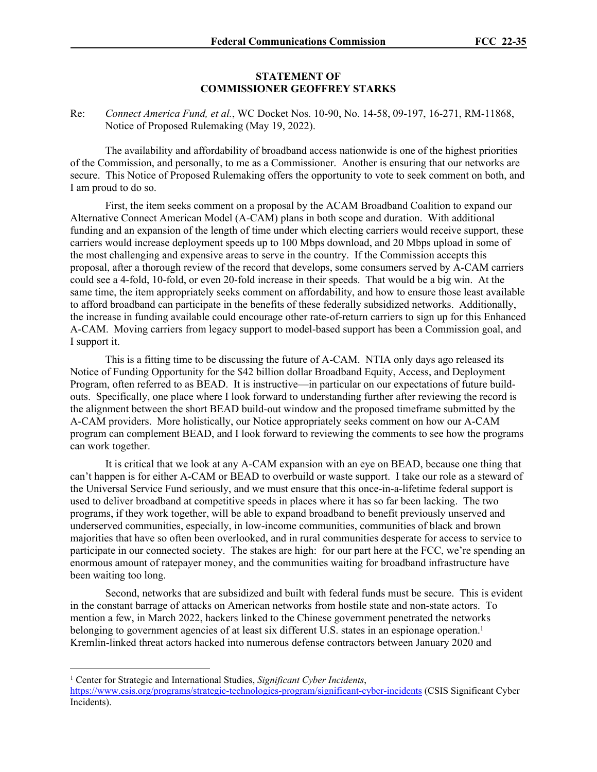## **STATEMENT OF COMMISSIONER GEOFFREY STARKS**

Re: *Connect America Fund, et al.*, WC Docket Nos. 10-90, No. 14-58, 09-197, 16-271, RM-11868, Notice of Proposed Rulemaking (May 19, 2022).

The availability and affordability of broadband access nationwide is one of the highest priorities of the Commission, and personally, to me as a Commissioner. Another is ensuring that our networks are secure. This Notice of Proposed Rulemaking offers the opportunity to vote to seek comment on both, and I am proud to do so.

First, the item seeks comment on a proposal by the ACAM Broadband Coalition to expand our Alternative Connect American Model (A-CAM) plans in both scope and duration. With additional funding and an expansion of the length of time under which electing carriers would receive support, these carriers would increase deployment speeds up to 100 Mbps download, and 20 Mbps upload in some of the most challenging and expensive areas to serve in the country. If the Commission accepts this proposal, after a thorough review of the record that develops, some consumers served by A-CAM carriers could see a 4-fold, 10-fold, or even 20-fold increase in their speeds. That would be a big win. At the same time, the item appropriately seeks comment on affordability, and how to ensure those least available to afford broadband can participate in the benefits of these federally subsidized networks. Additionally, the increase in funding available could encourage other rate-of-return carriers to sign up for this Enhanced A-CAM. Moving carriers from legacy support to model-based support has been a Commission goal, and I support it.

This is a fitting time to be discussing the future of A-CAM. NTIA only days ago released its Notice of Funding Opportunity for the \$42 billion dollar Broadband Equity, Access, and Deployment Program, often referred to as BEAD. It is instructive—in particular on our expectations of future buildouts. Specifically, one place where I look forward to understanding further after reviewing the record is the alignment between the short BEAD build-out window and the proposed timeframe submitted by the A-CAM providers. More holistically, our Notice appropriately seeks comment on how our A-CAM program can complement BEAD, and I look forward to reviewing the comments to see how the programs can work together.

It is critical that we look at any A-CAM expansion with an eye on BEAD, because one thing that can't happen is for either A-CAM or BEAD to overbuild or waste support. I take our role as a steward of the Universal Service Fund seriously, and we must ensure that this once-in-a-lifetime federal support is used to deliver broadband at competitive speeds in places where it has so far been lacking. The two programs, if they work together, will be able to expand broadband to benefit previously unserved and underserved communities, especially, in low-income communities, communities of black and brown majorities that have so often been overlooked, and in rural communities desperate for access to service to participate in our connected society. The stakes are high: for our part here at the FCC, we're spending an enormous amount of ratepayer money, and the communities waiting for broadband infrastructure have been waiting too long.

Second, networks that are subsidized and built with federal funds must be secure. This is evident in the constant barrage of attacks on American networks from hostile state and non-state actors. To mention a few, in March 2022, hackers linked to the Chinese government penetrated the networks belonging to government agencies of at least six different U.S. states in an espionage operation.<sup>1</sup> Kremlin-linked threat actors hacked into numerous defense contractors between January 2020 and

<sup>&</sup>lt;sup>1</sup> Center for Strategic and International Studies, *Significant Cyber Incidents*,

<https://www.csis.org/programs/strategic-technologies-program/significant-cyber-incidents> (CSIS Significant Cyber Incidents).